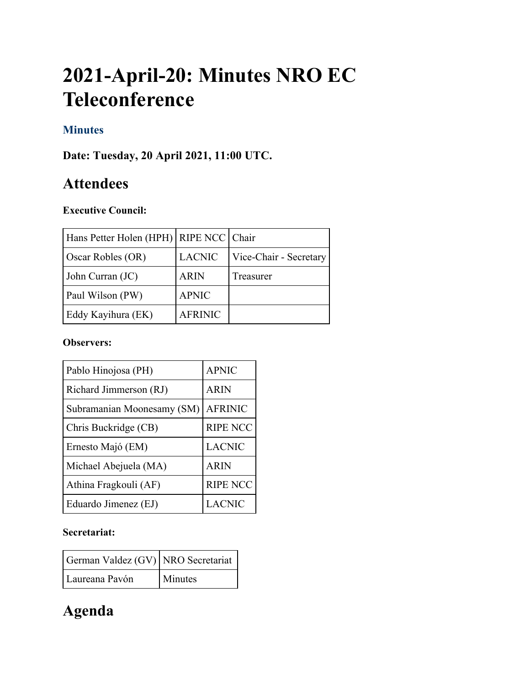# **2021-April-20: Minutes NRO EC Teleconference**

# **Minutes**

**Date: Tuesday, 20 April 2021, 11:00 UTC.**

# **Attendees**

# **Executive Council:**

| Hans Petter Holen (HPH)   RIPE NCC   Chair |                |                        |
|--------------------------------------------|----------------|------------------------|
| Oscar Robles (OR)                          | <b>LACNIC</b>  | Vice-Chair - Secretary |
| John Curran (JC)                           | <b>ARIN</b>    | Treasurer              |
| Paul Wilson (PW)                           | <b>APNIC</b>   |                        |
| Eddy Kayihura (EK)                         | <b>AFRINIC</b> |                        |

#### **Observers:**

| Pablo Hinojosa (PH)        | <b>APNIC</b>    |
|----------------------------|-----------------|
| Richard Jimmerson (RJ)     | <b>ARIN</b>     |
| Subramanian Moonesamy (SM) | <b>AFRINIC</b>  |
| Chris Buckridge (CB)       | <b>RIPE NCC</b> |
| Ernesto Majó (EM)          | <b>LACNIC</b>   |
| Michael Abejuela (MA)      | <b>ARIN</b>     |
| Athina Fragkouli (AF)      | <b>RIPE NCC</b> |
| Eduardo Jimenez (EJ)       | <b>LACNIC</b>   |

# **Secretariat:**

| German Valdez (GV) NRO Secretariat |                |
|------------------------------------|----------------|
| Laureana Pavón                     | <b>Minutes</b> |

# **Agenda**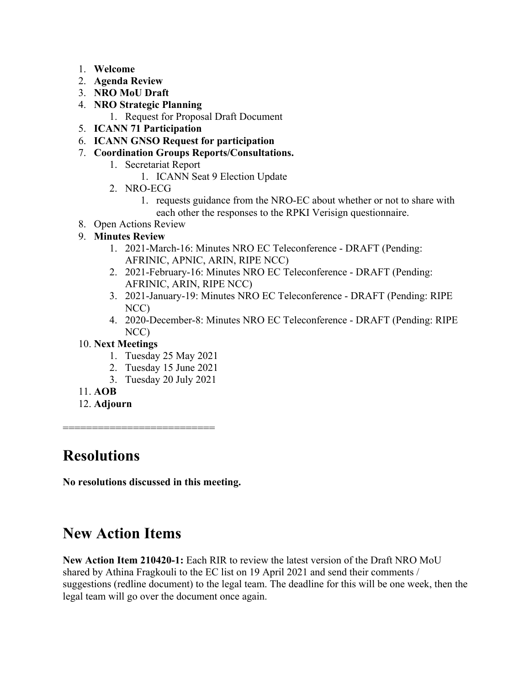- 1. **Welcome**
- 2. **Agenda Review**
- 3. **NRO MoU Draft**
- 4. **NRO Strategic Planning**
	- 1. Request for Proposal Draft Document
- 5. **ICANN 71 Participation**
- 6. **ICANN GNSO Request for participation**
- 7. **Coordination Groups Reports/Consultations.**
	- 1. Secretariat Report
		- 1. ICANN Seat 9 Election Update
	- 2. NRO-ECG
		- 1. requests guidance from the NRO-EC about whether or not to share with each other the responses to the RPKI Verisign questionnaire.
- 8. Open Actions Review

# 9. **Minutes Review**

- 1. 2021-March-16: Minutes NRO EC Teleconference DRAFT (Pending: AFRINIC, APNIC, ARIN, RIPE NCC)
- 2. 2021-February-16: Minutes NRO EC Teleconference DRAFT (Pending: AFRINIC, ARIN, RIPE NCC)
- 3. 2021-January-19: Minutes NRO EC Teleconference DRAFT (Pending: RIPE NCC)
- 4. 2020-December-8: Minutes NRO EC Teleconference DRAFT (Pending: RIPE NCC)

# 10. **Next Meetings**

- 1. Tuesday 25 May 2021
- 2. Tuesday 15 June 2021
- 3. Tuesday 20 July 2021
- 11. **AOB**
- 12. **Adjourn**

# **Resolutions**

**No resolutions discussed in this meeting.**

=============================

# **New Action Items**

**New Action Item 210420-1:** Each RIR to review the latest version of the Draft NRO MoU shared by Athina Fragkouli to the EC list on 19 April 2021 and send their comments / suggestions (redline document) to the legal team. The deadline for this will be one week, then the legal team will go over the document once again.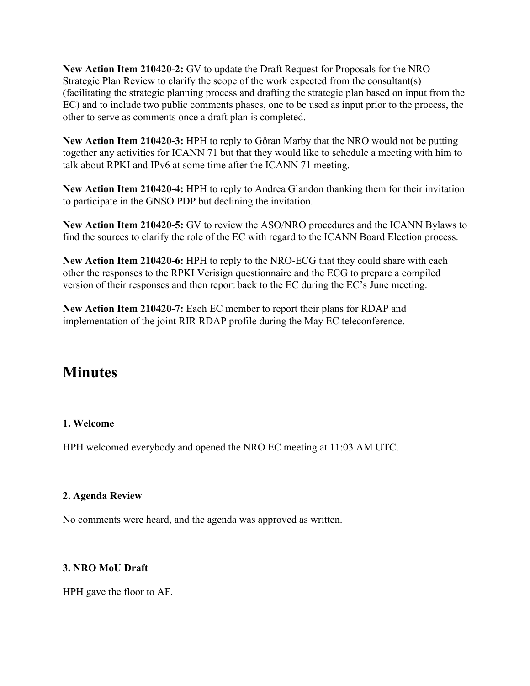**New Action Item 210420-2:** GV to update the Draft Request for Proposals for the NRO Strategic Plan Review to clarify the scope of the work expected from the consultant(s) (facilitating the strategic planning process and drafting the strategic plan based on input from the EC) and to include two public comments phases, one to be used as input prior to the process, the other to serve as comments once a draft plan is completed.

**New Action Item 210420-3:** HPH to reply to Göran Marby that the NRO would not be putting together any activities for ICANN 71 but that they would like to schedule a meeting with him to talk about RPKI and IPv6 at some time after the ICANN 71 meeting.

**New Action Item 210420-4:** HPH to reply to Andrea Glandon thanking them for their invitation to participate in the GNSO PDP but declining the invitation.

**New Action Item 210420-5:** GV to review the ASO/NRO procedures and the ICANN Bylaws to find the sources to clarify the role of the EC with regard to the ICANN Board Election process.

**New Action Item 210420-6:** HPH to reply to the NRO-ECG that they could share with each other the responses to the RPKI Verisign questionnaire and the ECG to prepare a compiled version of their responses and then report back to the EC during the EC's June meeting.

**New Action Item 210420-7:** Each EC member to report their plans for RDAP and implementation of the joint RIR RDAP profile during the May EC teleconference.

# **Minutes**

### **1. Welcome**

HPH welcomed everybody and opened the NRO EC meeting at 11:03 AM UTC.

### **2. Agenda Review**

No comments were heard, and the agenda was approved as written.

### **3. NRO MoU Draft**

HPH gave the floor to AF.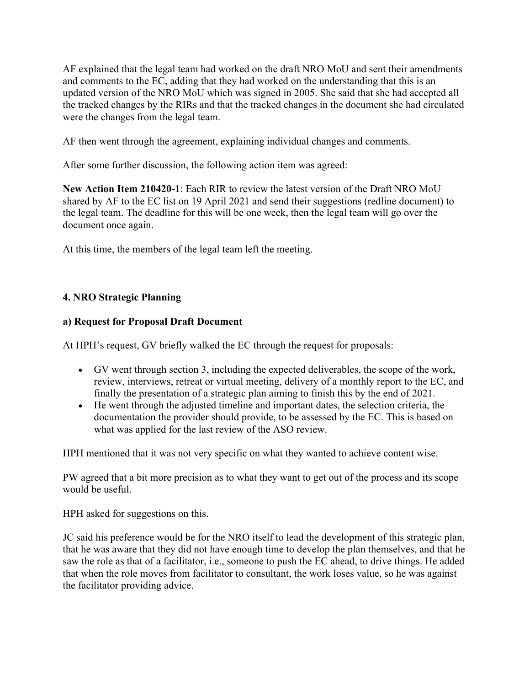AF explained that the legal team had worked on the draft NRO MoU and sent their amendments and comments to the EC, adding that they had worked on the understanding that this is an updated version of the NRO MoU which was signed in 2005. She said that she had accepted all the tracked changes by the RIRs and that the tracked changes in the document she had circulated were the changes from the legal team.

AF then went through the agreement, explaining individual changes and comments.

After some further discussion, the following action item was agreed:

**New Action Item 210420-1**: Each RIR to review the latest version of the Draft NRO MoU shared by AF to the EC list on 19 April 2021 and send their suggestions (redline document) to the legal team. The deadline for this will be one week, then the legal team will go over the document once again.

At this time, the members of the legal team left the meeting.

# **4. NRO Strategic Planning**

# **a) Request for Proposal Draft Document**

At HPH's request, GV briefly walked the EC through the request for proposals:

- GV went through section 3, including the expected deliverables, the scope of the work, review, interviews, retreat or virtual meeting, delivery of a monthly report to the EC, and finally the presentation of a strategic plan aiming to finish this by the end of 2021.
- He went through the adjusted timeline and important dates, the selection criteria, the documentation the provider should provide, to be assessed by the EC. This is based on what was applied for the last review of the ASO review.

HPH mentioned that it was not very specific on what they wanted to achieve content wise.

PW agreed that a bit more precision as to what they want to get out of the process and its scope would be useful.

HPH asked for suggestions on this.

JC said his preference would be for the NRO itself to lead the development of this strategic plan, that he was aware that they did not have enough time to develop the plan themselves, and that he saw the role as that of a facilitator, i.e., someone to push the EC ahead, to drive things. He added that when the role moves from facilitator to consultant, the work loses value, so he was against the facilitator providing advice.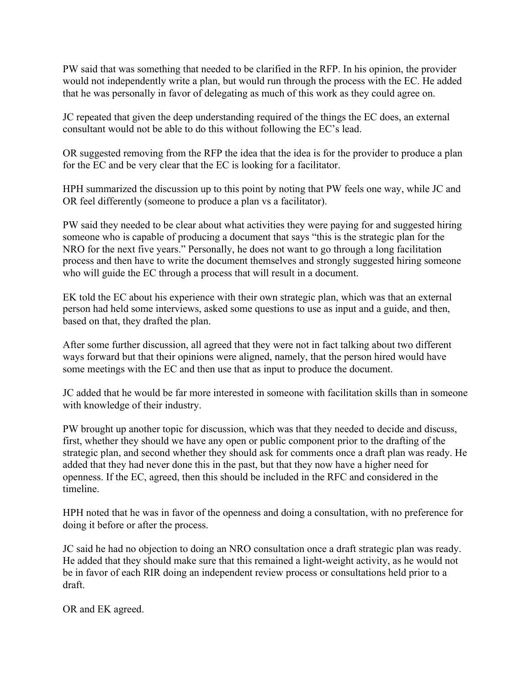PW said that was something that needed to be clarified in the RFP. In his opinion, the provider would not independently write a plan, but would run through the process with the EC. He added that he was personally in favor of delegating as much of this work as they could agree on.

JC repeated that given the deep understanding required of the things the EC does, an external consultant would not be able to do this without following the EC's lead.

OR suggested removing from the RFP the idea that the idea is for the provider to produce a plan for the EC and be very clear that the EC is looking for a facilitator.

HPH summarized the discussion up to this point by noting that PW feels one way, while JC and OR feel differently (someone to produce a plan vs a facilitator).

PW said they needed to be clear about what activities they were paying for and suggested hiring someone who is capable of producing a document that says "this is the strategic plan for the NRO for the next five years." Personally, he does not want to go through a long facilitation process and then have to write the document themselves and strongly suggested hiring someone who will guide the EC through a process that will result in a document.

EK told the EC about his experience with their own strategic plan, which was that an external person had held some interviews, asked some questions to use as input and a guide, and then, based on that, they drafted the plan.

After some further discussion, all agreed that they were not in fact talking about two different ways forward but that their opinions were aligned, namely, that the person hired would have some meetings with the EC and then use that as input to produce the document.

JC added that he would be far more interested in someone with facilitation skills than in someone with knowledge of their industry.

PW brought up another topic for discussion, which was that they needed to decide and discuss, first, whether they should we have any open or public component prior to the drafting of the strategic plan, and second whether they should ask for comments once a draft plan was ready. He added that they had never done this in the past, but that they now have a higher need for openness. If the EC, agreed, then this should be included in the RFC and considered in the timeline.

HPH noted that he was in favor of the openness and doing a consultation, with no preference for doing it before or after the process.

JC said he had no objection to doing an NRO consultation once a draft strategic plan was ready. He added that they should make sure that this remained a light-weight activity, as he would not be in favor of each RIR doing an independent review process or consultations held prior to a draft.

OR and EK agreed.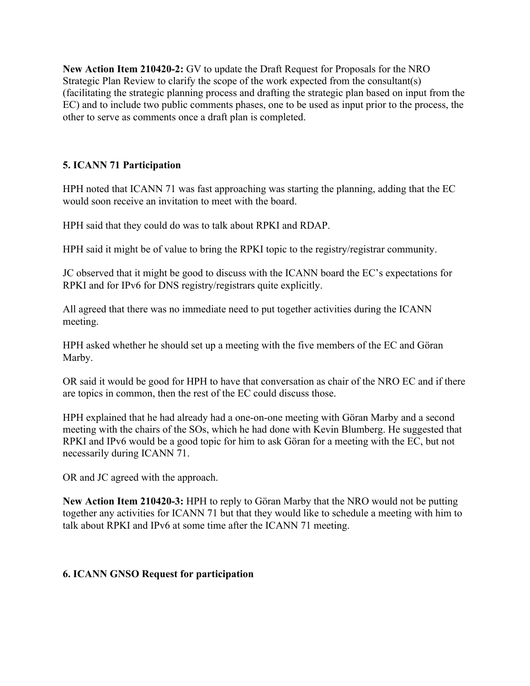**New Action Item 210420-2:** GV to update the Draft Request for Proposals for the NRO Strategic Plan Review to clarify the scope of the work expected from the consultant(s) (facilitating the strategic planning process and drafting the strategic plan based on input from the EC) and to include two public comments phases, one to be used as input prior to the process, the other to serve as comments once a draft plan is completed.

# **5. ICANN 71 Participation**

HPH noted that ICANN 71 was fast approaching was starting the planning, adding that the EC would soon receive an invitation to meet with the board.

HPH said that they could do was to talk about RPKI and RDAP.

HPH said it might be of value to bring the RPKI topic to the registry/registrar community.

JC observed that it might be good to discuss with the ICANN board the EC's expectations for RPKI and for IPv6 for DNS registry/registrars quite explicitly.

All agreed that there was no immediate need to put together activities during the ICANN meeting.

HPH asked whether he should set up a meeting with the five members of the EC and Göran Marby.

OR said it would be good for HPH to have that conversation as chair of the NRO EC and if there are topics in common, then the rest of the EC could discuss those.

HPH explained that he had already had a one-on-one meeting with Göran Marby and a second meeting with the chairs of the SOs, which he had done with Kevin Blumberg. He suggested that RPKI and IPv6 would be a good topic for him to ask Göran for a meeting with the EC, but not necessarily during ICANN 71.

OR and JC agreed with the approach.

**New Action Item 210420-3:** HPH to reply to Göran Marby that the NRO would not be putting together any activities for ICANN 71 but that they would like to schedule a meeting with him to talk about RPKI and IPv6 at some time after the ICANN 71 meeting.

# **6. ICANN GNSO Request for participation**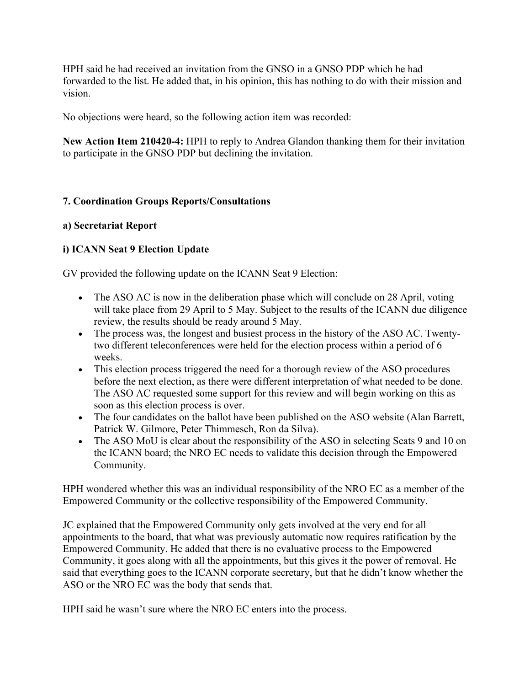HPH said he had received an invitation from the GNSO in a GNSO PDP which he had forwarded to the list. He added that, in his opinion, this has nothing to do with their mission and vision.

No objections were heard, so the following action item was recorded:

**New Action Item 210420-4:** HPH to reply to Andrea Glandon thanking them for their invitation to participate in the GNSO PDP but declining the invitation.

### **7. Coordination Groups Reports/Consultations**

### **a) Secretariat Report**

### **i) ICANN Seat 9 Election Update**

GV provided the following update on the ICANN Seat 9 Election:

- The ASO AC is now in the deliberation phase which will conclude on 28 April, voting will take place from 29 April to 5 May. Subject to the results of the ICANN due diligence review, the results should be ready around 5 May.
- The process was, the longest and busiest process in the history of the ASO AC. Twentytwo different teleconferences were held for the election process within a period of 6 weeks.
- This election process triggered the need for a thorough review of the ASO procedures before the next election, as there were different interpretation of what needed to be done. The ASO AC requested some support for this review and will begin working on this as soon as this election process is over.
- The four candidates on the ballot have been published on the ASO website (Alan Barrett, Patrick W. Gilmore, Peter Thimmesch, Ron da Silva).
- The ASO MoU is clear about the responsibility of the ASO in selecting Seats 9 and 10 on the ICANN board; the NRO EC needs to validate this decision through the Empowered Community.

HPH wondered whether this was an individual responsibility of the NRO EC as a member of the Empowered Community or the collective responsibility of the Empowered Community.

JC explained that the Empowered Community only gets involved at the very end for all appointments to the board, that what was previously automatic now requires ratification by the Empowered Community. He added that there is no evaluative process to the Empowered Community, it goes along with all the appointments, but this gives it the power of removal. He said that everything goes to the ICANN corporate secretary, but that he didn't know whether the ASO or the NRO EC was the body that sends that.

HPH said he wasn't sure where the NRO EC enters into the process.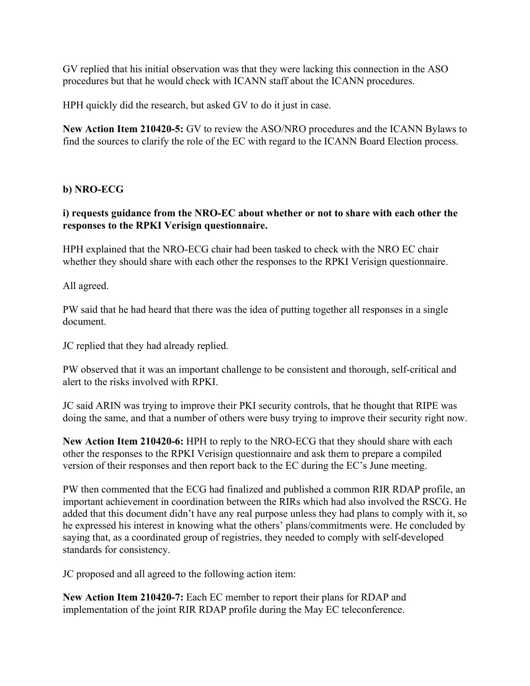GV replied that his initial observation was that they were lacking this connection in the ASO procedures but that he would check with ICANN staff about the ICANN procedures.

HPH quickly did the research, but asked GV to do it just in case.

**New Action Item 210420-5:** GV to review the ASO/NRO procedures and the ICANN Bylaws to find the sources to clarify the role of the EC with regard to the ICANN Board Election process.

### **b) NRO-ECG**

### **i) requests guidance from the NRO-EC about whether or not to share with each other the responses to the RPKI Verisign questionnaire.**

HPH explained that the NRO-ECG chair had been tasked to check with the NRO EC chair whether they should share with each other the responses to the RPKI Verisign questionnaire.

All agreed.

PW said that he had heard that there was the idea of putting together all responses in a single document.

JC replied that they had already replied.

PW observed that it was an important challenge to be consistent and thorough, self-critical and alert to the risks involved with RPKI.

JC said ARIN was trying to improve their PKI security controls, that he thought that RIPE was doing the same, and that a number of others were busy trying to improve their security right now.

**New Action Item 210420-6:** HPH to reply to the NRO-ECG that they should share with each other the responses to the RPKI Verisign questionnaire and ask them to prepare a compiled version of their responses and then report back to the EC during the EC's June meeting.

PW then commented that the ECG had finalized and published a common RIR RDAP profile, an important achievement in coordination between the RIRs which had also involved the RSCG. He added that this document didn't have any real purpose unless they had plans to comply with it, so he expressed his interest in knowing what the others' plans/commitments were. He concluded by saying that, as a coordinated group of registries, they needed to comply with self-developed standards for consistency.

JC proposed and all agreed to the following action item:

**New Action Item 210420-7:** Each EC member to report their plans for RDAP and implementation of the joint RIR RDAP profile during the May EC teleconference.